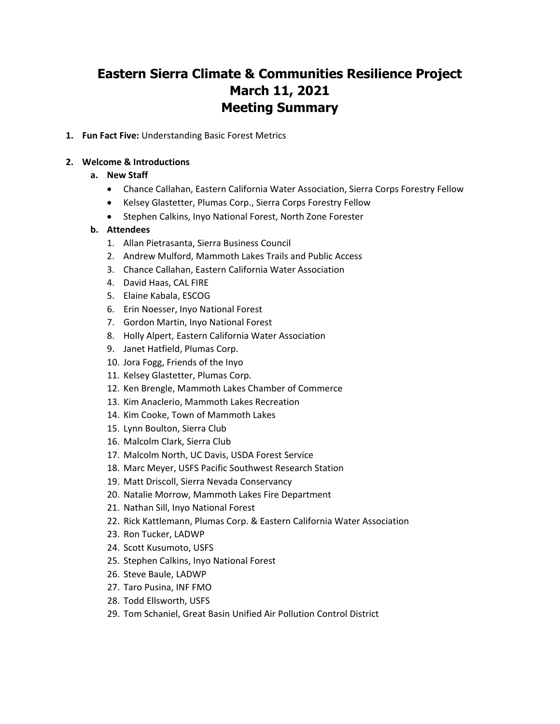# **Eastern Sierra Climate & Communities Resilience Project March 11, 2021 Meeting Summary**

**1. Fun Fact Five:** Understanding Basic Forest Metrics

#### **2. Welcome & Introductions**

#### **a. New Staff**

- Chance Callahan, Eastern California Water Association, Sierra Corps Forestry Fellow
- Kelsey Glastetter, Plumas Corp., Sierra Corps Forestry Fellow
- Stephen Calkins, Inyo National Forest, North Zone Forester

#### **b. Attendees**

- 1. Allan Pietrasanta, Sierra Business Council
- 2. Andrew Mulford, Mammoth Lakes Trails and Public Access
- 3. Chance Callahan, Eastern California Water Association
- 4. David Haas, CAL FIRE
- 5. Elaine Kabala, ESCOG
- 6. Erin Noesser, Inyo National Forest
- 7. Gordon Martin, Inyo National Forest
- 8. Holly Alpert, Eastern California Water Association
- 9. Janet Hatfield, Plumas Corp.
- 10. Jora Fogg, Friends of the Inyo
- 11. Kelsey Glastetter, Plumas Corp.
- 12. Ken Brengle, Mammoth Lakes Chamber of Commerce
- 13. Kim Anaclerio, Mammoth Lakes Recreation
- 14. Kim Cooke, Town of Mammoth Lakes
- 15. Lynn Boulton, Sierra Club
- 16. Malcolm Clark, Sierra Club
- 17. Malcolm North, UC Davis, USDA Forest Service
- 18. Marc Meyer, USFS Pacific Southwest Research Station
- 19. Matt Driscoll, Sierra Nevada Conservancy
- 20. Natalie Morrow, Mammoth Lakes Fire Department
- 21. Nathan Sill, Inyo National Forest
- 22. Rick Kattlemann, Plumas Corp. & Eastern California Water Association
- 23. Ron Tucker, LADWP
- 24. Scott Kusumoto, USFS
- 25. Stephen Calkins, Inyo National Forest
- 26. Steve Baule, LADWP
- 27. Taro Pusina, INF FMO
- 28. Todd Ellsworth, USFS
- 29. Tom Schaniel, Great Basin Unified Air Pollution Control District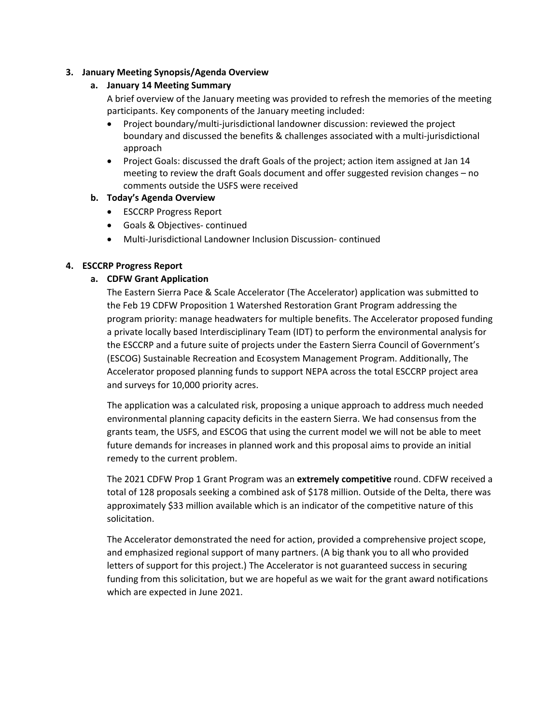### **3. January Meeting Synopsis/Agenda Overview**

# **a. January 14 Meeting Summary**

A brief overview of the January meeting was provided to refresh the memories of the meeting participants. Key components of the January meeting included:

- Project boundary/multi-jurisdictional landowner discussion: reviewed the project boundary and discussed the benefits & challenges associated with a multi-jurisdictional approach
- Project Goals: discussed the draft Goals of the project; action item assigned at Jan 14 meeting to review the draft Goals document and offer suggested revision changes – no comments outside the USFS were received

# **b. Today's Agenda Overview**

- ESCCRP Progress Report
- Goals & Objectives- continued
- Multi-Jurisdictional Landowner Inclusion Discussion- continued

# **4. ESCCRP Progress Report**

# **a. CDFW Grant Application**

The Eastern Sierra Pace & Scale Accelerator (The Accelerator) application was submitted to the Feb 19 CDFW Proposition 1 Watershed Restoration Grant Program addressing the program priority: manage headwaters for multiple benefits. The Accelerator proposed funding a private locally based Interdisciplinary Team (IDT) to perform the environmental analysis for the ESCCRP and a future suite of projects under the Eastern Sierra Council of Government's (ESCOG) Sustainable Recreation and Ecosystem Management Program. Additionally, The Accelerator proposed planning funds to support NEPA across the total ESCCRP project area and surveys for 10,000 priority acres.

The application was a calculated risk, proposing a unique approach to address much needed environmental planning capacity deficits in the eastern Sierra. We had consensus from the grants team, the USFS, and ESCOG that using the current model we will not be able to meet future demands for increases in planned work and this proposal aims to provide an initial remedy to the current problem.

The 2021 CDFW Prop 1 Grant Program was an **extremely competitive** round. CDFW received a total of 128 proposals seeking a combined ask of \$178 million. Outside of the Delta, there was approximately \$33 million available which is an indicator of the competitive nature of this solicitation.

The Accelerator demonstrated the need for action, provided a comprehensive project scope, and emphasized regional support of many partners. (A big thank you to all who provided letters of support for this project.) The Accelerator is not guaranteed success in securing funding from this solicitation, but we are hopeful as we wait for the grant award notifications which are expected in June 2021.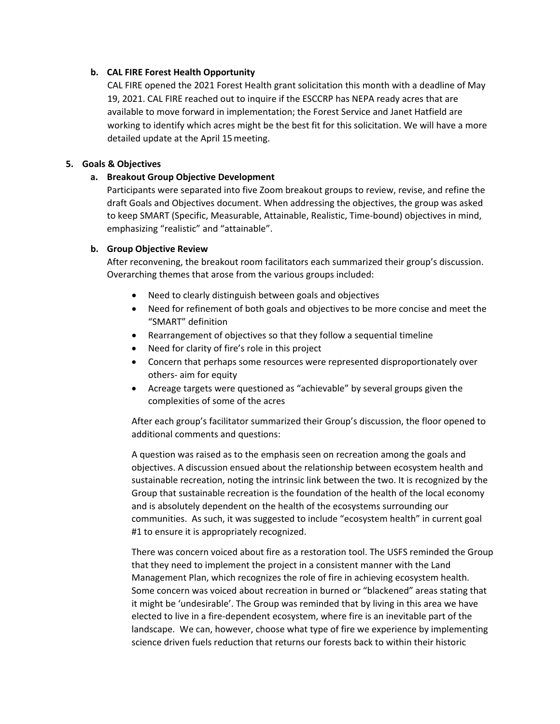# **b. CAL FIRE Forest Health Opportunity**

CAL FIRE opened the 2021 Forest Health grant solicitation this month with a deadline of May 19, 2021. CAL FIRE reached out to inquire if the ESCCRP has NEPA ready acres that are available to move forward in implementation; the Forest Service and Janet Hatfield are working to identify which acres might be the best fit for this solicitation. We will have a more detailed update at the April 15meeting.

# **5. Goals & Objectives**

# **a. Breakout Group Objective Development**

Participants were separated into five Zoom breakout groups to review, revise, and refine the draft Goals and Objectives document. When addressing the objectives, the group was asked to keep SMART (Specific, Measurable, Attainable, Realistic, Time-bound) objectives in mind, emphasizing "realistic" and "attainable".

# **b. Group Objective Review**

After reconvening, the breakout room facilitators each summarized their group's discussion. Overarching themes that arose from the various groups included:

- Need to clearly distinguish between goals and objectives
- Need for refinement of both goals and objectives to be more concise and meet the "SMART" definition
- Rearrangement of objectives so that they follow a sequential timeline
- Need for clarity of fire's role in this project
- Concern that perhaps some resources were represented disproportionately over others- aim for equity
- Acreage targets were questioned as "achievable" by several groups given the complexities of some of the acres

After each group's facilitator summarized their Group's discussion, the floor opened to additional comments and questions:

A question was raised as to the emphasis seen on recreation among the goals and objectives. A discussion ensued about the relationship between ecosystem health and sustainable recreation, noting the intrinsic link between the two. It is recognized by the Group that sustainable recreation is the foundation of the health of the local economy and is absolutely dependent on the health of the ecosystems surrounding our communities. As such, it was suggested to include "ecosystem health" in current goal #1 to ensure it is appropriately recognized.

There was concern voiced about fire as a restoration tool. The USFS reminded the Group that they need to implement the project in a consistent manner with the Land Management Plan, which recognizes the role of fire in achieving ecosystem health. Some concern was voiced about recreation in burned or "blackened" areas stating that it might be 'undesirable'. The Group was reminded that by living in this area we have elected to live in a fire-dependent ecosystem, where fire is an inevitable part of the landscape. We can, however, choose what type of fire we experience by implementing science driven fuels reduction that returns our forests back to within their historic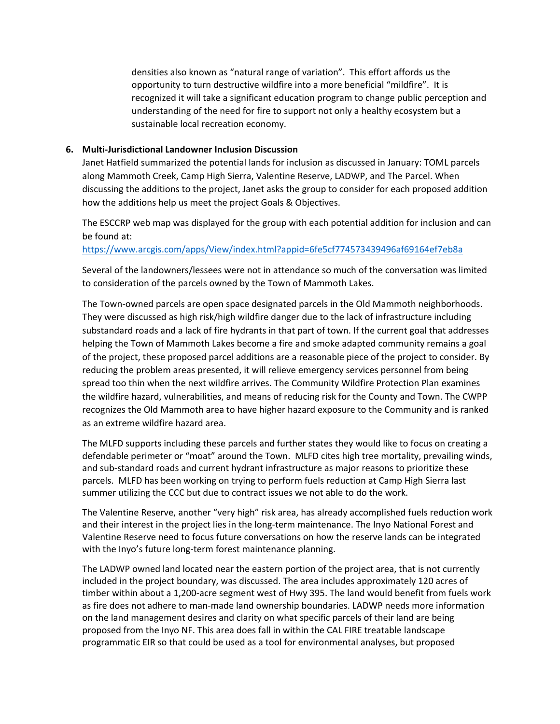densities also known as "natural range of variation". This effort affords us the opportunity to turn destructive wildfire into a more beneficial "mildfire". It is recognized it will take a significant education program to change public perception and understanding of the need for fire to support not only a healthy ecosystem but a sustainable local recreation economy.

#### **6. Multi-Jurisdictional Landowner Inclusion Discussion**

Janet Hatfield summarized the potential lands for inclusion as discussed in January: TOML parcels along Mammoth Creek, Camp High Sierra, Valentine Reserve, LADWP, and The Parcel. When discussing the additions to the project, Janet asks the group to consider for each proposed addition how the additions help us meet the project Goals & Objectives.

The ESCCRP web map was displayed for the group with each potential addition for inclusion and can be found at:

<https://www.arcgis.com/apps/View/index.html?appid=6fe5cf774573439496af69164ef7eb8a>

Several of the landowners/lessees were not in attendance so much of the conversation was limited to consideration of the parcels owned by the Town of Mammoth Lakes.

The Town-owned parcels are open space designated parcels in the Old Mammoth neighborhoods. They were discussed as high risk/high wildfire danger due to the lack of infrastructure including substandard roads and a lack of fire hydrants in that part of town. If the current goal that addresses helping the Town of Mammoth Lakes become a fire and smoke adapted community remains a goal of the project, these proposed parcel additions are a reasonable piece of the project to consider. By reducing the problem areas presented, it will relieve emergency services personnel from being spread too thin when the next wildfire arrives. The Community Wildfire Protection Plan examines the wildfire hazard, vulnerabilities, and means of reducing risk for the County and Town. The CWPP recognizes the Old Mammoth area to have higher hazard exposure to the Community and is ranked as an extreme wildfire hazard area.

The MLFD supports including these parcels and further states they would like to focus on creating a defendable perimeter or "moat" around the Town. MLFD cites high tree mortality, prevailing winds, and sub-standard roads and current hydrant infrastructure as major reasons to prioritize these parcels. MLFD has been working on trying to perform fuels reduction at Camp High Sierra last summer utilizing the CCC but due to contract issues we not able to do the work.

The Valentine Reserve, another "very high" risk area, has already accomplished fuels reduction work and their interest in the project lies in the long-term maintenance. The Inyo National Forest and Valentine Reserve need to focus future conversations on how the reserve lands can be integrated with the Inyo's future long-term forest maintenance planning.

The LADWP owned land located near the eastern portion of the project area, that is not currently included in the project boundary, was discussed. The area includes approximately 120 acres of timber within about a 1,200-acre segment west of Hwy 395. The land would benefit from fuels work as fire does not adhere to man-made land ownership boundaries. LADWP needs more information on the land management desires and clarity on what specific parcels of their land are being proposed from the Inyo NF. This area does fall in within the CAL FIRE treatable landscape programmatic EIR so that could be used as a tool for environmental analyses, but proposed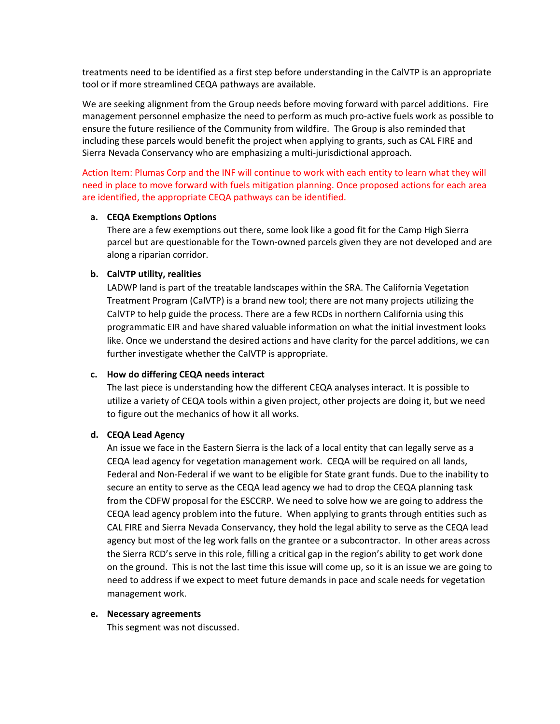treatments need to be identified as a first step before understanding in the CalVTP is an appropriate tool or if more streamlined CEQA pathways are available.

We are seeking alignment from the Group needs before moving forward with parcel additions. Fire management personnel emphasize the need to perform as much pro-active fuels work as possible to ensure the future resilience of the Community from wildfire. The Group is also reminded that including these parcels would benefit the project when applying to grants, such as CAL FIRE and Sierra Nevada Conservancy who are emphasizing a multi-jurisdictional approach.

Action Item: Plumas Corp and the INF will continue to work with each entity to learn what they will need in place to move forward with fuels mitigation planning. Once proposed actions for each area are identified, the appropriate CEQA pathways can be identified.

#### **a. CEQA Exemptions Options**

There are a few exemptions out there, some look like a good fit for the Camp High Sierra parcel but are questionable for the Town-owned parcels given they are not developed and are along a riparian corridor.

#### **b. CalVTP utility, realities**

LADWP land is part of the treatable landscapes within the SRA. The California Vegetation Treatment Program (CalVTP) is a brand new tool; there are not many projects utilizing the CalVTP to help guide the process. There are a few RCDs in northern California using this programmatic EIR and have shared valuable information on what the initial investment looks like. Once we understand the desired actions and have clarity for the parcel additions, we can further investigate whether the CalVTP is appropriate.

#### **c. How do differing CEQA needs interact**

The last piece is understanding how the different CEQA analyses interact. It is possible to utilize a variety of CEQA tools within a given project, other projects are doing it, but we need to figure out the mechanics of how it all works.

#### **d. CEQA Lead Agency**

An issue we face in the Eastern Sierra is the lack of a local entity that can legally serve as a CEQA lead agency for vegetation management work. CEQA will be required on all lands, Federal and Non-Federal if we want to be eligible for State grant funds. Due to the inability to secure an entity to serve as the CEQA lead agency we had to drop the CEQA planning task from the CDFW proposal for the ESCCRP. We need to solve how we are going to address the CEQA lead agency problem into the future. When applying to grants through entities such as CAL FIRE and Sierra Nevada Conservancy, they hold the legal ability to serve as the CEQA lead agency but most of the leg work falls on the grantee or a subcontractor. In other areas across the Sierra RCD's serve in this role, filling a critical gap in the region's ability to get work done on the ground. This is not the last time this issue will come up, so it is an issue we are going to need to address if we expect to meet future demands in pace and scale needs for vegetation management work.

#### **e. Necessary agreements**

This segment was not discussed.